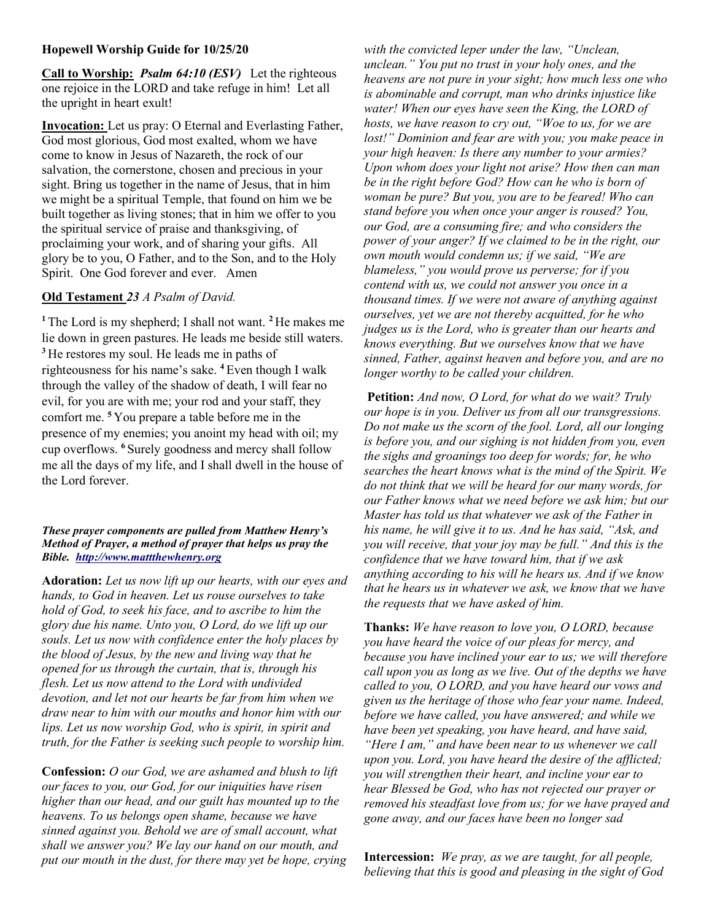## Hopewell Worship Guide for 10/25/20

Call to Worship: *Psalm 64:10 (ESV)* Let the righteous one rejoice in the LORD and take refuge in him! Let all the upright in heart exult!

Invocation: Let us pray: O Eternal and Everlasting Father, God most glorious, God most exalted, whom we have come to know in Jesus of Nazareth, the rock of our salvation, the cornerstone, chosen and precious in your sight. Bring us together in the name of Jesus, that in him we might be a spiritual Temple, that found on him we be built together as living stones; that in him we offer to you the spiritual service of praise and thanksgiving, of proclaiming your work, and of sharing your gifts. All glory be to you, O Father, and to the Son, and to the Holy Spirit. One God forever and ever. Amen

## Old Testament 23 A Psalm of David.

<sup>1</sup>The Lord is my shepherd; I shall not want.  $2$ He makes me lie down in green pastures. He leads me beside still waters. <sup>3</sup>He restores my soul. He leads me in paths of righteousness for his name's sake. <sup>4</sup> Even though I walk through the valley of the shadow of death, I will fear no evil, for you are with me; your rod and your staff, they comfort me. <sup>5</sup>You prepare a table before me in the presence of my enemies; you anoint my head with oil; my cup overflows. <sup>6</sup> Surely goodness and mercy shall follow me all the days of my life, and I shall dwell in the house of the Lord forever.

## These prayer components are pulled from Matthew Henry's Method of Prayer, a method of prayer that helps us pray the Bible. http://www.mattthewhenry.org

Adoration: Let us now lift up our hearts, with our eyes and hands, to God in heaven. Let us rouse ourselves to take hold of God, to seek his face, and to ascribe to him the glory due his name. Unto you, O Lord, do we lift up our souls. Let us now with confidence enter the holy places by the blood of Jesus, by the new and living way that he opened for us through the curtain, that is, through his flesh. Let us now attend to the Lord with undivided devotion, and let not our hearts be far from him when we draw near to him with our mouths and honor him with our lips. Let us now worship God, who is spirit, in spirit and truth, for the Father is seeking such people to worship him.

Confession: O our God, we are ashamed and blush to lift our faces to you, our God, for our iniquities have risen higher than our head, and our guilt has mounted up to the heavens. To us belongs open shame, because we have sinned against you. Behold we are of small account, what shall we answer you? We lay our hand on our mouth, and put our mouth in the dust, for there may yet be hope, crying with the convicted leper under the law, "Unclean, unclean." You put no trust in your holy ones, and the heavens are not pure in your sight; how much less one who is abominable and corrupt, man who drinks injustice like water! When our eyes have seen the King, the LORD of hosts, we have reason to cry out, "Woe to us, for we are lost!" Dominion and fear are with you; you make peace in your high heaven: Is there any number to your armies? Upon whom does your light not arise? How then can man be in the right before God? How can he who is born of woman be pure? But you, you are to be feared! Who can stand before you when once your anger is roused? You, our God, are a consuming fire; and who considers the power of your anger? If we claimed to be in the right, our own mouth would condemn us; if we said, "We are blameless," you would prove us perverse; for if you contend with us, we could not answer you once in a thousand times. If we were not aware of anything against ourselves, yet we are not thereby acquitted, for he who judges us is the Lord, who is greater than our hearts and knows everything. But we ourselves know that we have sinned, Father, against heaven and before you, and are no longer worthy to be called your children.

Petition: And now, O Lord, for what do we wait? Truly our hope is in you. Deliver us from all our transgressions. Do not make us the scorn of the fool. Lord, all our longing is before you, and our sighing is not hidden from you, even the sighs and groanings too deep for words; for, he who searches the heart knows what is the mind of the Spirit. We do not think that we will be heard for our many words, for our Father knows what we need before we ask him; but our Master has told us that whatever we ask of the Father in his name, he will give it to us. And he has said, "Ask, and you will receive, that your joy may be full." And this is the confidence that we have toward him, that if we ask anything according to his will he hears us. And if we know that he hears us in whatever we ask, we know that we have the requests that we have asked of him.

Thanks: We have reason to love you, O LORD, because you have heard the voice of our pleas for mercy, and because you have inclined your ear to us; we will therefore call upon you as long as we live. Out of the depths we have called to you, O LORD, and you have heard our vows and given us the heritage of those who fear your name. Indeed, before we have called, you have answered; and while we have been yet speaking, you have heard, and have said, "Here I am," and have been near to us whenever we call upon you. Lord, you have heard the desire of the afflicted; you will strengthen their heart, and incline your ear to hear Blessed be God, who has not rejected our prayer or removed his steadfast love from us; for we have prayed and gone away, and our faces have been no longer sad

Intercession: We pray, as we are taught, for all people, believing that this is good and pleasing in the sight of God